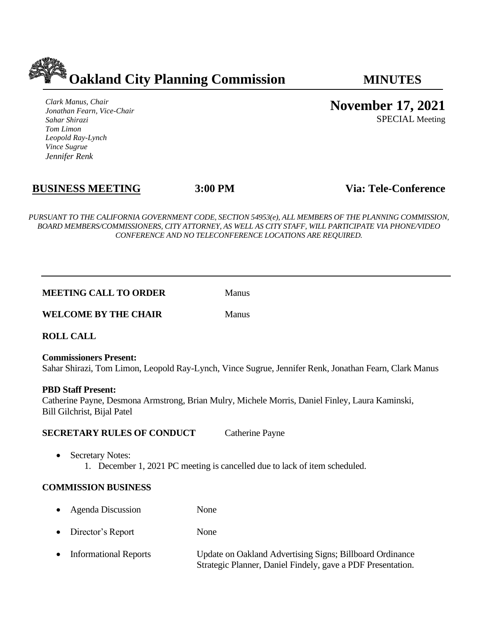

*Clark Manus, Chair Jonathan Fearn, Vice-Chair Sahar Shirazi Tom Limon Leopold Ray-Lynch Vince Sugrue Jennifer Renk*

**November 17, 2021**

SPECIAL Meeting

# **BUSINESS MEETING 3:00 PM Via: Tele-Conference**

*PURSUANT TO THE CALIFORNIA GOVERNMENT CODE, SECTION 54953(e), ALL MEMBERS OF THE PLANNING COMMISSION, BOARD MEMBERS/COMMISSIONERS, CITY ATTORNEY, AS WELL AS CITY STAFF, WILL PARTICIPATE VIA PHONE/VIDEO CONFERENCE AND NO TELECONFERENCE LOCATIONS ARE REQUIRED.*

#### **MEETING CALL TO ORDER** Manus

**WELCOME BY THE CHAIR** Manus

**ROLL CALL**

**Commissioners Present:**  Sahar Shirazi, Tom Limon, Leopold Ray-Lynch, Vince Sugrue, Jennifer Renk, Jonathan Fearn, Clark Manus

### **PBD Staff Present:**

Catherine Payne, Desmona Armstrong, Brian Mulry, Michele Morris, Daniel Finley, Laura Kaminski, Bill Gilchrist, Bijal Patel

### **SECRETARY RULES OF CONDUCT** Catherine Payne

• Secretary Notes: 1. December 1, 2021 PC meeting is cancelled due to lack of item scheduled.

### **COMMISSION BUSINESS**

- Agenda Discussion None
- Director's Report None
- Informational Reports Update on Oakland Advertising Signs; Billboard Ordinance Strategic Planner, Daniel Findely, gave a PDF Presentation.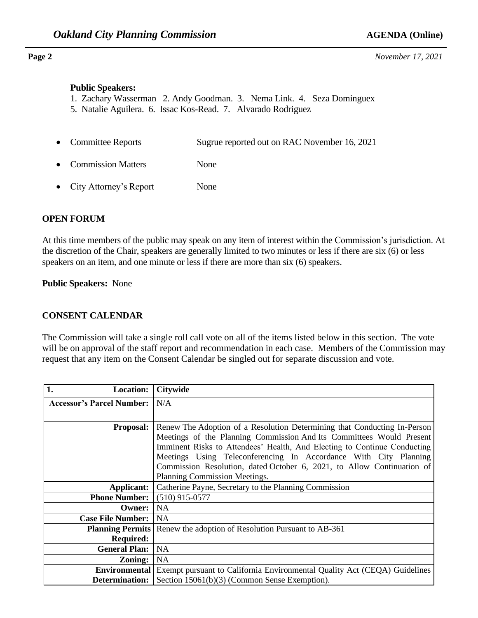**Page 2** *November 17, 2021*

#### **Public Speakers:**

- 1. Zachary Wasserman 2. Andy Goodman. 3. Nema Link. 4. Seza Dominguex
- 5. Natalie Aguilera. 6. Issac Kos-Read. 7. Alvarado Rodriguez
- Committee Reports Sugrue reported out on RAC November 16, 2021
- Commission Matters None
- City Attorney's Report None

### **OPEN FORUM**

At this time members of the public may speak on any item of interest within the Commission's jurisdiction. At the discretion of the Chair, speakers are generally limited to two minutes or less if there are six (6) or less speakers on an item, and one minute or less if there are more than six (6) speakers.

**Public Speakers:** None

### **CONSENT CALENDAR**

The Commission will take a single roll call vote on all of the items listed below in this section. The vote will be on approval of the staff report and recommendation in each case. Members of the Commission may request that any item on the Consent Calendar be singled out for separate discussion and vote.

| 1.<br><b>Location:</b>           | <b>Citywide</b>                                                               |
|----------------------------------|-------------------------------------------------------------------------------|
| <b>Accessor's Parcel Number:</b> | N/A                                                                           |
|                                  |                                                                               |
| <b>Proposal:</b>                 | Renew The Adoption of a Resolution Determining that Conducting In-Person      |
|                                  | Meetings of the Planning Commission And Its Committees Would Present          |
|                                  | Imminent Risks to Attendees' Health, And Electing to Continue Conducting      |
|                                  | Meetings Using Teleconferencing In Accordance With City Planning              |
|                                  | Commission Resolution, dated October 6, 2021, to Allow Continuation of        |
|                                  | Planning Commission Meetings.                                                 |
| Applicant:                       | Catherine Payne, Secretary to the Planning Commission                         |
| <b>Phone Number:</b>             | $(510)$ 915-0577                                                              |
| Owner: 1                         | <b>NA</b>                                                                     |
| <b>Case File Number:</b>         | <b>NA</b>                                                                     |
|                                  | <b>Planning Permits</b>   Renew the adoption of Resolution Pursuant to AB-361 |
| <b>Required:</b>                 |                                                                               |
| <b>General Plan:</b>             | <b>NA</b>                                                                     |
| $\bf{Zoning:}$                   | <b>NA</b>                                                                     |
| Environmental                    | Exempt pursuant to California Environmental Quality Act (CEQA) Guidelines     |
| Determination:                   | Section 15061(b)(3) (Common Sense Exemption).                                 |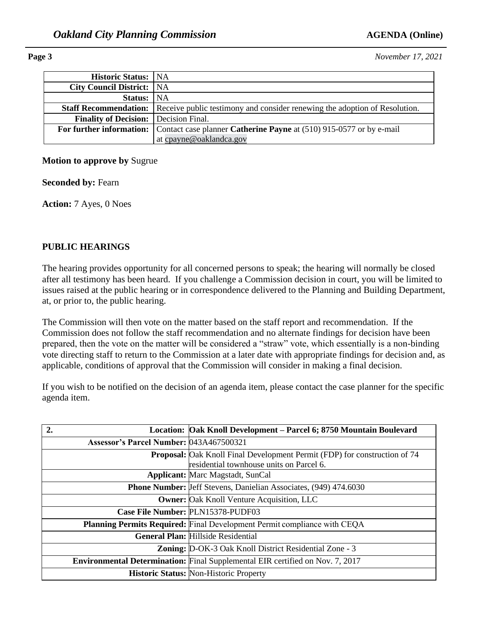**Page 3** *November 17, 2021*

| <b>Historic Status:</b> NA                   |                                                                                                         |
|----------------------------------------------|---------------------------------------------------------------------------------------------------------|
| <b>City Council District:</b> NA             |                                                                                                         |
| Status: NA                                   |                                                                                                         |
|                                              | <b>Staff Recommendation:</b> Receive public testimony and consider renewing the adoption of Resolution. |
| <b>Finality of Decision:</b> Decision Final. |                                                                                                         |
|                                              | For further information: Contact case planner Catherine Payne at (510) 915-0577 or by e-mail            |
|                                              | at cpayne@oaklandca.gov                                                                                 |

### **Motion to approve by** Sugrue

**Seconded by: Fearn** 

**Action:** 7 Ayes, 0 Noes

# **PUBLIC HEARINGS**

The hearing provides opportunity for all concerned persons to speak; the hearing will normally be closed after all testimony has been heard. If you challenge a Commission decision in court, you will be limited to issues raised at the public hearing or in correspondence delivered to the Planning and Building Department, at, or prior to, the public hearing.

The Commission will then vote on the matter based on the staff report and recommendation. If the Commission does not follow the staff recommendation and no alternate findings for decision have been prepared, then the vote on the matter will be considered a "straw" vote, which essentially is a non-binding vote directing staff to return to the Commission at a later date with appropriate findings for decision and, as applicable, conditions of approval that the Commission will consider in making a final decision.

If you wish to be notified on the decision of an agenda item, please contact the case planner for the specific agenda item.

|                                         | Location: Oak Knoll Development – Parcel 6; 8750 Mountain Boulevard                                                          |
|-----------------------------------------|------------------------------------------------------------------------------------------------------------------------------|
| Assessor's Parcel Number: 043A467500321 |                                                                                                                              |
|                                         | <b>Proposal:</b> Oak Knoll Final Development Permit (FDP) for construction of 74<br>residential townhouse units on Parcel 6. |
|                                         | <b>Applicant:</b> Marc Magstadt, SunCal                                                                                      |
|                                         | <b>Phone Number:</b> Jeff Stevens, Danielian Associates, (949) 474.6030                                                      |
|                                         | <b>Owner:</b> Oak Knoll Venture Acquisition, LLC                                                                             |
|                                         | Case File Number: PLN15378-PUDF03                                                                                            |
|                                         | <b>Planning Permits Required:</b> Final Development Permit compliance with CEQA                                              |
|                                         | <b>General Plan: Hillside Residential</b>                                                                                    |
|                                         | <b>Zoning:</b> D-OK-3 Oak Knoll District Residential Zone - 3                                                                |
|                                         | <b>Environmental Determination:</b> Final Supplemental EIR certified on Nov. 7, 2017                                         |
|                                         | <b>Historic Status: Non-Historic Property</b>                                                                                |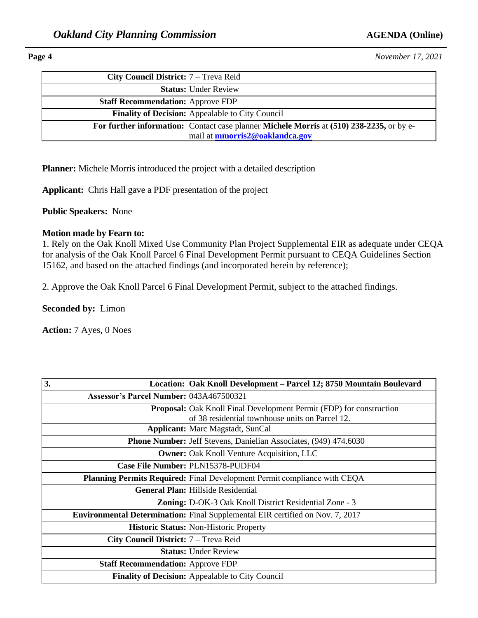### **Page 4** *November 17, 2021*

| City Council District: $7 -$ Treva Reid  |                                                                                          |
|------------------------------------------|------------------------------------------------------------------------------------------|
|                                          | <b>Status: Under Review</b>                                                              |
| <b>Staff Recommendation: Approve FDP</b> |                                                                                          |
|                                          | <b>Finality of Decision:</b> Appealable to City Council                                  |
|                                          | For further information: Contact case planner Michele Morris at (510) 238-2235, or by e- |
|                                          | mail at <b>mmorris2@oaklandca.gov</b>                                                    |

**Planner:** Michele Morris introduced the project with a detailed description

**Applicant:** Chris Hall gave a PDF presentation of the project

**Public Speakers:** None

#### **Motion made by Fearn to:**

1. Rely on the Oak Knoll Mixed Use Community Plan Project Supplemental EIR as adequate under CEQA for analysis of the Oak Knoll Parcel 6 Final Development Permit pursuant to CEQA Guidelines Section 15162, and based on the attached findings (and incorporated herein by reference);

2. Approve the Oak Knoll Parcel 6 Final Development Permit, subject to the attached findings.

**Seconded by:** Limon

**Action:** 7 Ayes, 0 Noes

| 3.                                       | Location: Oak Knoll Development – Parcel 12; 8750 Mountain Boulevard                                                   |
|------------------------------------------|------------------------------------------------------------------------------------------------------------------------|
| Assessor's Parcel Number: 043A467500321  |                                                                                                                        |
|                                          | Proposal: Oak Knoll Final Development Permit (FDP) for construction<br>of 38 residential townhouse units on Parcel 12. |
|                                          | <b>Applicant:</b> Marc Magstadt, SunCal                                                                                |
|                                          | <b>Phone Number:</b> Jeff Stevens, Danielian Associates, (949) 474.6030                                                |
|                                          | <b>Owner:</b> Oak Knoll Venture Acquisition, LLC                                                                       |
|                                          | Case File Number: PLN15378-PUDF04                                                                                      |
|                                          | <b>Planning Permits Required:</b> Final Development Permit compliance with CEQA                                        |
|                                          | <b>General Plan: Hillside Residential</b>                                                                              |
|                                          | <b>Zoning:</b> D-OK-3 Oak Knoll District Residential Zone - 3                                                          |
|                                          | <b>Environmental Determination:</b> Final Supplemental EIR certified on Nov. 7, 2017                                   |
|                                          | <b>Historic Status: Non-Historic Property</b>                                                                          |
| City Council District:  7 - Treva Reid   |                                                                                                                        |
|                                          | <b>Status: Under Review</b>                                                                                            |
| <b>Staff Recommendation: Approve FDP</b> |                                                                                                                        |
|                                          | Finality of Decision: Appealable to City Council                                                                       |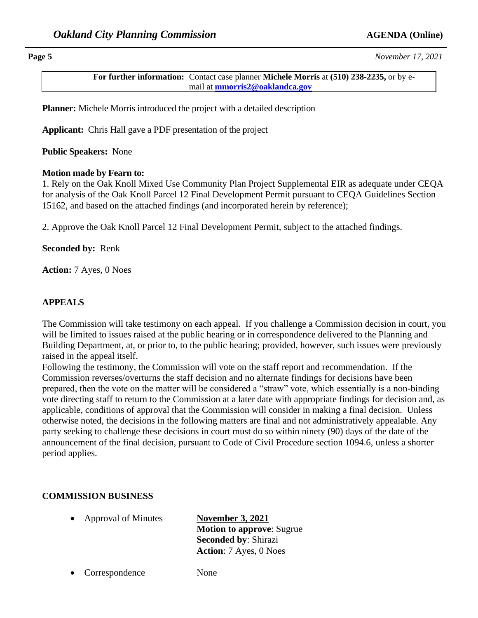**Page 5** *November 17, 2021*

**For further information:** Contact case planner **Michele Morris** at **(510) 238-2235,** or by email at **[mmorris2@oaklandca.gov](mailto:mmorris2@oaklandca.gov)**

**Planner:** Michele Morris introduced the project with a detailed description

**Applicant:** Chris Hall gave a PDF presentation of the project

**Public Speakers:** None

### **Motion made by Fearn to:**

1. Rely on the Oak Knoll Mixed Use Community Plan Project Supplemental EIR as adequate under CEQA for analysis of the Oak Knoll Parcel 12 Final Development Permit pursuant to CEQA Guidelines Section 15162, and based on the attached findings (and incorporated herein by reference);

2. Approve the Oak Knoll Parcel 12 Final Development Permit, subject to the attached findings.

### **Seconded by:** Renk

**Action:** 7 Ayes, 0 Noes

### **APPEALS**

The Commission will take testimony on each appeal. If you challenge a Commission decision in court, you will be limited to issues raised at the public hearing or in correspondence delivered to the Planning and Building Department, at, or prior to, to the public hearing; provided, however, such issues were previously raised in the appeal itself.

Following the testimony, the Commission will vote on the staff report and recommendation. If the Commission reverses/overturns the staff decision and no alternate findings for decisions have been prepared, then the vote on the matter will be considered a "straw" vote, which essentially is a non-binding vote directing staff to return to the Commission at a later date with appropriate findings for decision and, as applicable, conditions of approval that the Commission will consider in making a final decision. Unless otherwise noted, the decisions in the following matters are final and not administratively appealable. Any party seeking to challenge these decisions in court must do so within ninety (90) days of the date of the announcement of the final decision, pursuant to Code of Civil Procedure section 1094.6, unless a shorter period applies.

# **COMMISSION BUSINESS**

• Approval of Minutes **November 3, 2021** 

**Motion to approve**: Sugrue **Seconded by**: Shirazi **Action**: 7 Ayes, 0 Noes

• Correspondence None